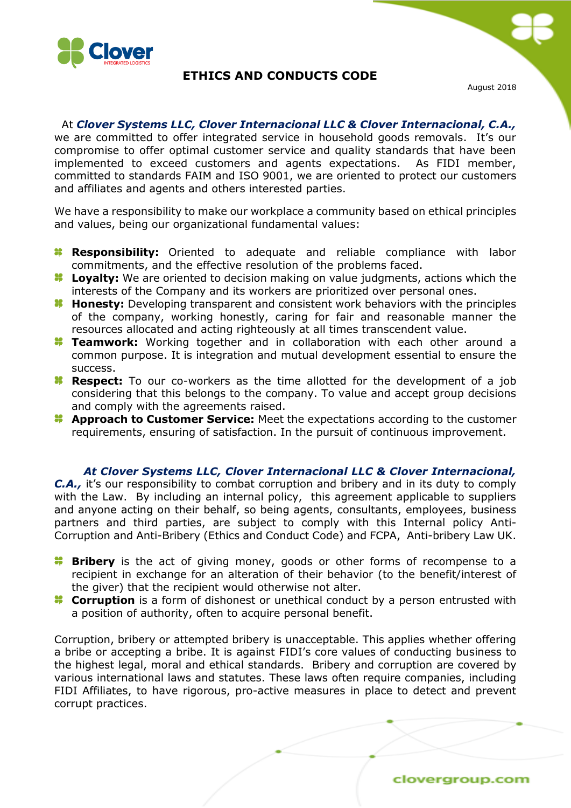

## **ETHICS AND CONDUCTS CODE**

August 2018

 At *Clover Systems LLC, Clover Internacional LLC & Clover Internacional, C.A.,* we are committed to offer integrated service in household goods removals. It's our compromise to offer optimal customer service and quality standards that have been implemented to exceed customers and agents expectations. As FIDI member, committed to standards FAIM and ISO 9001, we are oriented to protect our customers and affiliates and agents and others interested parties.

We have a responsibility to make our workplace a community based on ethical principles and values, being our organizational fundamental values:

- **Responsibility:** Oriented to adequate and reliable compliance with labor commitments, and the effective resolution of the problems faced.
- **Loyalty:** We are oriented to decision making on value judgments, actions which the interests of the Company and its workers are prioritized over personal ones.
- **Honesty:** Developing transparent and consistent work behaviors with the principles of the company, working honestly, caring for fair and reasonable manner the resources allocated and acting righteously at all times transcendent value.
- **Teamwork:** Working together and in collaboration with each other around a common purpose. It is integration and mutual development essential to ensure the success.
- **Respect:** To our co-workers as the time allotted for the development of a job considering that this belongs to the company. To value and accept group decisions and comply with the agreements raised.
- **Approach to Customer Service:** Meet the expectations according to the customer requirements, ensuring of satisfaction. In the pursuit of continuous improvement.

#### *At Clover Systems LLC, Clover Internacional LLC & Clover Internacional,*

*C.A.,* it's our responsibility to combat corruption and bribery and in its duty to comply with the Law. By including an internal policy, this agreement applicable to suppliers and anyone acting on their behalf, so being agents, consultants, employees, business partners and third parties, are subject to comply with this Internal policy Anti-Corruption and Anti-Bribery (Ethics and Conduct Code) and FCPA, Anti-bribery Law UK.

- **Bribery** is the act of giving money, goods or other forms of recompense to a recipient in exchange for an alteration of their behavior (to the benefit/interest of the giver) that the recipient would otherwise not alter.
- **Corruption** is a form of dishonest or unethical conduct by a person entrusted with a position of authority, often to acquire personal benefit.

Corruption, bribery or attempted bribery is unacceptable. This applies whether offering a bribe or accepting a bribe. It is against FIDI's core values of conducting business to the highest legal, moral and ethical standards. Bribery and corruption are covered by various international laws and statutes. These laws often require companies, including FIDI Affiliates, to have rigorous, pro-active measures in place to detect and prevent corrupt practices.

clovergroup.com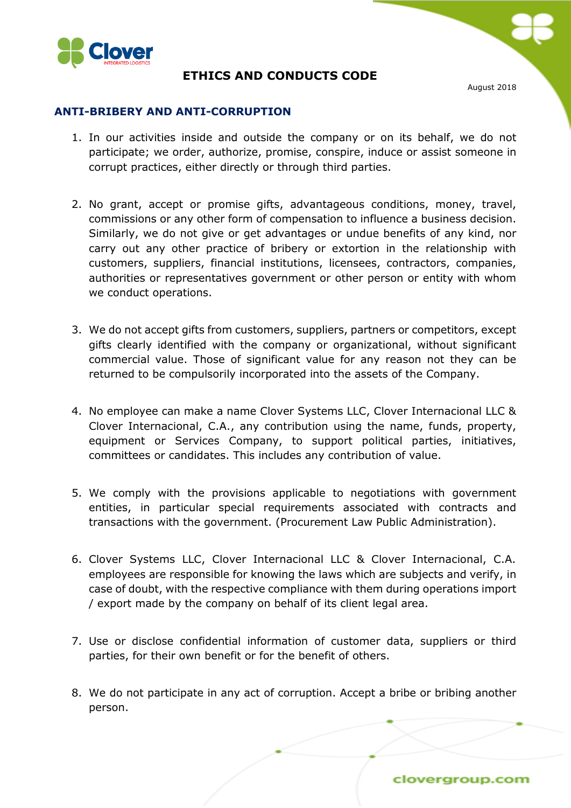

# **ETHICS AND CONDUCTS CODE**

August 2018

### **ANTI-BRIBERY AND ANTI-CORRUPTION**

- 1. In our activities inside and outside the company or on its behalf, we do not participate; we order, authorize, promise, conspire, induce or assist someone in corrupt practices, either directly or through third parties.
- 2. No grant, accept or promise gifts, advantageous conditions, money, travel, commissions or any other form of compensation to influence a business decision. Similarly, we do not give or get advantages or undue benefits of any kind, nor carry out any other practice of bribery or extortion in the relationship with customers, suppliers, financial institutions, licensees, contractors, companies, authorities or representatives government or other person or entity with whom we conduct operations.
- 3. We do not accept gifts from customers, suppliers, partners or competitors, except gifts clearly identified with the company or organizational, without significant commercial value. Those of significant value for any reason not they can be returned to be compulsorily incorporated into the assets of the Company.
- 4. No employee can make a name Clover Systems LLC, Clover Internacional LLC & Clover Internacional, C.A., any contribution using the name, funds, property, equipment or Services Company, to support political parties, initiatives, committees or candidates. This includes any contribution of value.
- 5. We comply with the provisions applicable to negotiations with government entities, in particular special requirements associated with contracts and transactions with the government. (Procurement Law Public Administration).
- 6. Clover Systems LLC, Clover Internacional LLC & Clover Internacional, C.A. employees are responsible for knowing the laws which are subjects and verify, in case of doubt, with the respective compliance with them during operations import / export made by the company on behalf of its client legal area.
- 7. Use or disclose confidential information of customer data, suppliers or third parties, for their own benefit or for the benefit of others.
- 8. We do not participate in any act of corruption. Accept a bribe or bribing another person.

clovergroup.com